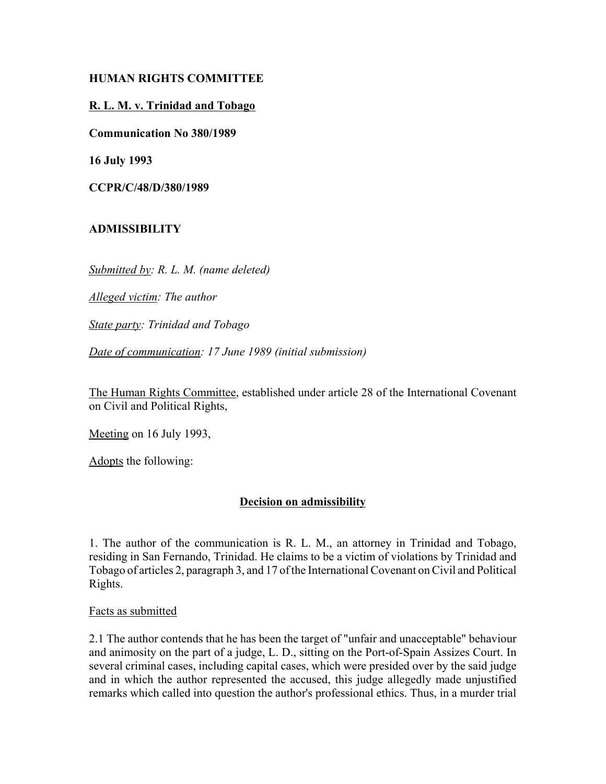### **HUMAN RIGHTS COMMITTEE**

## **R. L. M. v. Trinidad and Tobago**

**Communication No 380/1989**

**16 July 1993**

**CCPR/C/48/D/380/1989**

# **ADMISSIBILITY**

*Submitted by: R. L. M. (name deleted)* 

*Alleged victim: The author* 

*State party: Trinidad and Tobago* 

*Date of communication: 17 June 1989 (initial submission)*

The Human Rights Committee, established under article 28 of the International Covenant on Civil and Political Rights,

Meeting on 16 July 1993,

Adopts the following:

### **Decision on admissibility**

1. The author of the communication is R. L. M., an attorney in Trinidad and Tobago, residing in San Fernando, Trinidad. He claims to be a victim of violations by Trinidad and Tobago of articles 2, paragraph 3, and 17 of the International Covenant on Civil and Political Rights.

Facts as submitted

2.1 The author contends that he has been the target of "unfair and unacceptable" behaviour and animosity on the part of a judge, L. D., sitting on the Port-of-Spain Assizes Court. In several criminal cases, including capital cases, which were presided over by the said judge and in which the author represented the accused, this judge allegedly made unjustified remarks which called into question the author's professional ethics. Thus, in a murder trial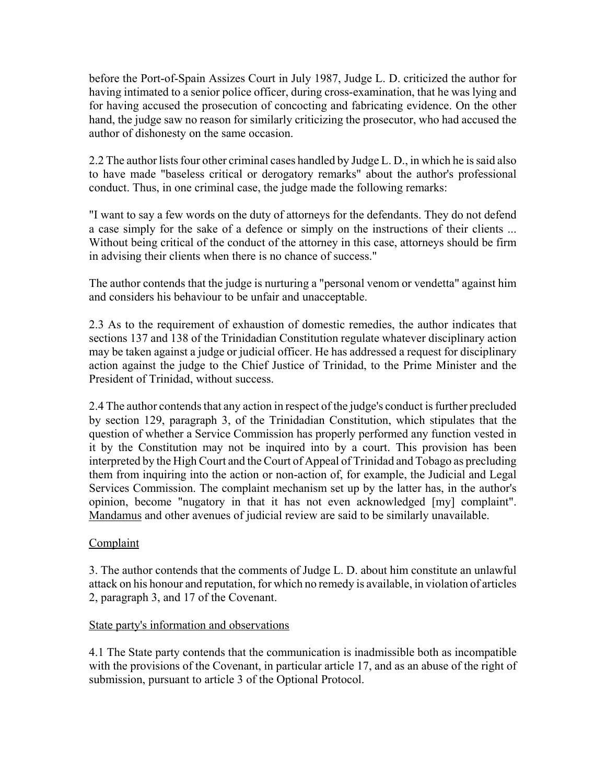before the Port-of-Spain Assizes Court in July 1987, Judge L. D. criticized the author for having intimated to a senior police officer, during cross-examination, that he was lying and for having accused the prosecution of concocting and fabricating evidence. On the other hand, the judge saw no reason for similarly criticizing the prosecutor, who had accused the author of dishonesty on the same occasion.

2.2 The author lists four other criminal cases handled by Judge L. D., in which he is said also to have made "baseless critical or derogatory remarks" about the author's professional conduct. Thus, in one criminal case, the judge made the following remarks:

"I want to say a few words on the duty of attorneys for the defendants. They do not defend a case simply for the sake of a defence or simply on the instructions of their clients ... Without being critical of the conduct of the attorney in this case, attorneys should be firm in advising their clients when there is no chance of success."

The author contends that the judge is nurturing a "personal venom or vendetta" against him and considers his behaviour to be unfair and unacceptable.

2.3 As to the requirement of exhaustion of domestic remedies, the author indicates that sections 137 and 138 of the Trinidadian Constitution regulate whatever disciplinary action may be taken against a judge or judicial officer. He has addressed a request for disciplinary action against the judge to the Chief Justice of Trinidad, to the Prime Minister and the President of Trinidad, without success.

2.4 The author contends that any action in respect of the judge's conduct is further precluded by section 129, paragraph 3, of the Trinidadian Constitution, which stipulates that the question of whether a Service Commission has properly performed any function vested in it by the Constitution may not be inquired into by a court. This provision has been interpreted by the High Court and the Court of Appeal of Trinidad and Tobago as precluding them from inquiring into the action or non-action of, for example, the Judicial and Legal Services Commission. The complaint mechanism set up by the latter has, in the author's opinion, become "nugatory in that it has not even acknowledged [my] complaint". Mandamus and other avenues of judicial review are said to be similarly unavailable.

### **Complaint**

3. The author contends that the comments of Judge L. D. about him constitute an unlawful attack on his honour and reputation, for which no remedy is available, in violation of articles 2, paragraph 3, and 17 of the Covenant.

#### State party's information and observations

4.1 The State party contends that the communication is inadmissible both as incompatible with the provisions of the Covenant, in particular article 17, and as an abuse of the right of submission, pursuant to article 3 of the Optional Protocol.